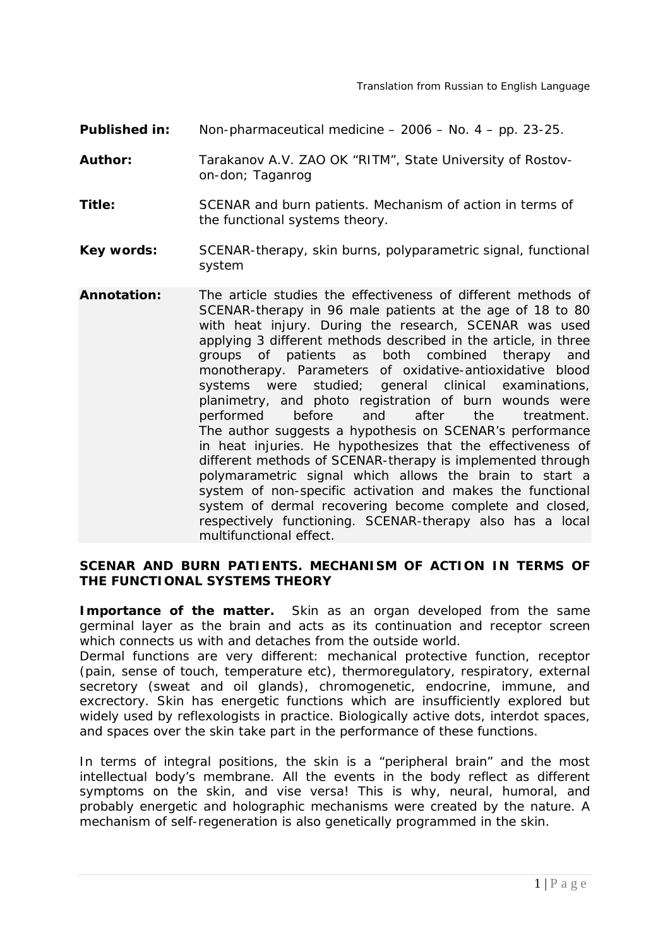- **Published in:** Non-pharmaceutical medicine 2006 No. 4 pp. 23-25.
- **Author:** Tarakanov A.V. ZAO OK "RITM", State University of Rostovon-don; Taganrog
- **Title:** SCENAR and burn patients. Mechanism of action in terms of the functional systems theory.
- **Key words:** SCENAR-therapy, skin burns, polyparametric signal, functional system
- **Annotation:** The article studies the effectiveness of different methods of SCENAR-therapy in 96 male patients at the age of 18 to 80 with heat injury. During the research, SCENAR was used applying 3 different methods described in the article, in three groups of patients as both combined therapy and monotherapy. Parameters of oxidative-antioxidative blood systems were studied; general clinical examinations, planimetry, and photo registration of burn wounds were performed before and after the treatment. The author suggests a hypothesis on SCENAR's performance in heat injuries. He hypothesizes that the effectiveness of different methods of SCENAR-therapy is implemented through polymarametric signal which allows the brain to start a system of non-specific activation and makes the functional system of dermal recovering become complete and closed, respectively functioning. SCENAR-therapy also has a local multifunctional effect.

#### **SCENAR AND BURN PATIENTS. MECHANISM OF ACTION IN TERMS OF THE FUNCTIONAL SYSTEMS THEORY**

**Importance of the matter.** Skin as an organ developed from the same germinal layer as the brain and acts as its continuation and receptor screen which connects us with and detaches from the outside world.

Dermal functions are very different: mechanical protective function, receptor (pain, sense of touch, temperature etc), thermoregulatory, respiratory, external secretory (sweat and oil glands), chromogenetic, endocrine, immune, and excrectory. Skin has energetic functions which are insufficiently explored but widely used by reflexologists in practice. Biologically active dots, interdot spaces, and spaces over the skin take part in the performance of these functions.

In terms of integral positions, the skin is a "peripheral brain" and the most intellectual body's membrane. All the events in the body reflect as different symptoms on the skin, and vise versa! This is why, neural, humoral, and probably energetic and holographic mechanisms were created by the nature. A mechanism of self-regeneration is also genetically programmed in the skin.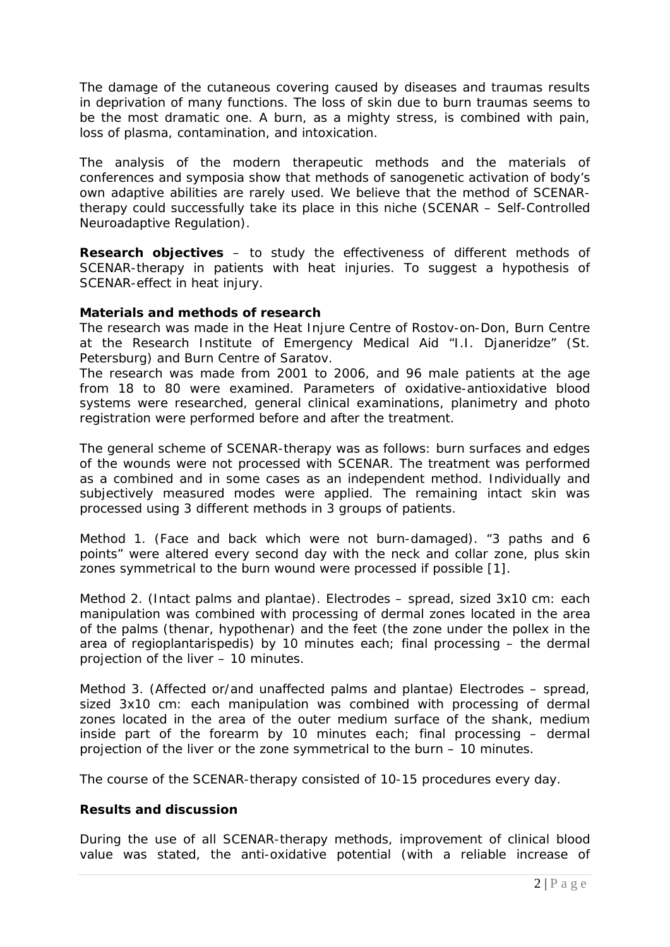The damage of the cutaneous covering caused by diseases and traumas results in deprivation of many functions. The loss of skin due to burn traumas seems to be the most dramatic one. A burn, as a mighty stress, is combined with pain, loss of plasma, contamination, and intoxication.

The analysis of the modern therapeutic methods and the materials of conferences and symposia show that methods of sanogenetic activation of body's own adaptive abilities are rarely used. We believe that the method of SCENARtherapy could successfully take its place in this niche (SCENAR – Self-Controlled Neuroadaptive Regulation).

**Research objectives** – to study the effectiveness of different methods of SCENAR-therapy in patients with heat injuries. To suggest a hypothesis of SCENAR-effect in heat injury.

#### **Materials and methods of research**

The research was made in the Heat Injure Centre of Rostov-on-Don, Burn Centre at the Research Institute of Emergency Medical Aid "I.I. Djaneridze" (St. Petersburg) and Burn Centre of Saratov.

The research was made from 2001 to 2006, and 96 male patients at the age from 18 to 80 were examined. Parameters of oxidative-antioxidative blood systems were researched, general clinical examinations, planimetry and photo registration were performed before and after the treatment.

The general scheme of SCENAR-therapy was as follows: burn surfaces and edges of the wounds were not processed with SCENAR. The treatment was performed as a combined and in some cases as an independent method. Individually and subjectively measured modes were applied. The remaining intact skin was processed using 3 different methods in 3 groups of patients.

Method 1. (Face and back which were not burn-damaged). "3 paths and 6 points" were altered every second day with the neck and collar zone, plus skin zones symmetrical to the burn wound were processed if possible [1].

Method 2. (Intact palms and plantae). Electrodes – spread, sized 3x10 cm: each manipulation was combined with processing of dermal zones located in the area of the palms (thenar, hypothenar) and the feet (the zone under the pollex in the area of regioplantarispedis) by 10 minutes each; final processing – the dermal projection of the liver – 10 minutes.

Method 3. (Affected or/and unaffected palms and plantae) Electrodes – spread, sized 3x10 cm: each manipulation was combined with processing of dermal zones located in the area of the outer medium surface of the shank, medium inside part of the forearm by 10 minutes each; final processing – dermal projection of the liver or the zone symmetrical to the burn – 10 minutes.

The course of the SCENAR-therapy consisted of 10-15 procedures every day.

## **Results and discussion**

During the use of all SCENAR-therapy methods, improvement of clinical blood value was stated, the anti-oxidative potential (with a reliable increase of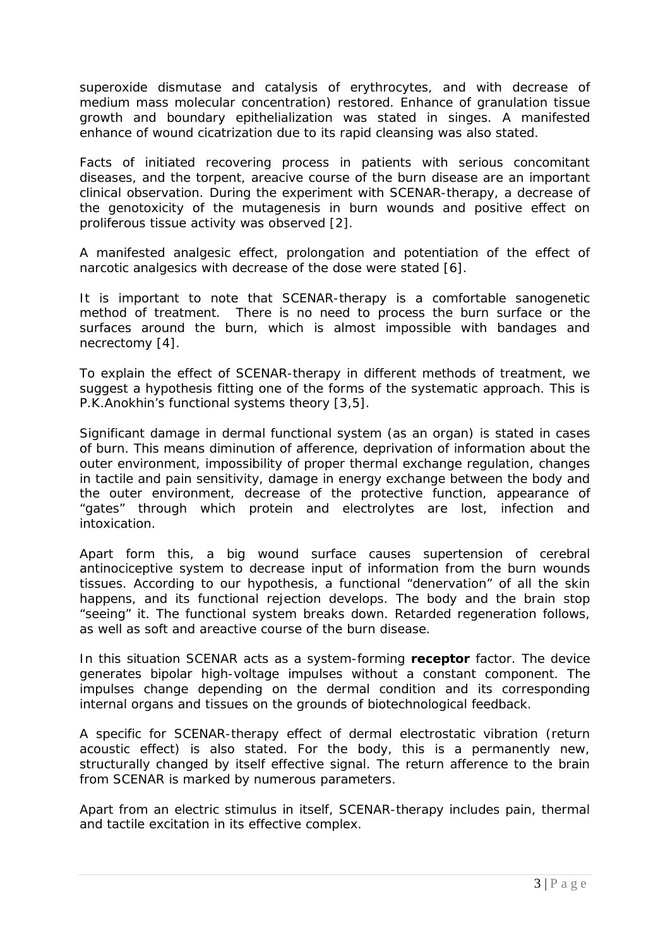superoxide dismutase and catalysis of erythrocytes, and with decrease of medium mass molecular concentration) restored. Enhance of granulation tissue growth and boundary epithelialization was stated in singes. A manifested enhance of wound cicatrization due to its rapid cleansing was also stated.

Facts of initiated recovering process in patients with serious concomitant diseases, and the torpent, areacive course of the burn disease are an important clinical observation. During the experiment with SCENAR-therapy, a decrease of the genotoxicity of the mutagenesis in burn wounds and positive effect on proliferous tissue activity was observed [2].

A manifested analgesic effect, prolongation and potentiation of the effect of narcotic analgesics with decrease of the dose were stated [6].

It is important to note that SCENAR-therapy is a comfortable sanogenetic method of treatment. There is no need to process the burn surface or the surfaces around the burn, which is almost impossible with bandages and necrectomy [4].

To explain the effect of SCENAR-therapy in different methods of treatment, we suggest a hypothesis fitting one of the forms of the systematic approach. This is P.K.Anokhin's functional systems theory [3,5].

Significant damage in dermal functional system (as an organ) is stated in cases of burn. This means diminution of afference, deprivation of information about the outer environment, impossibility of proper thermal exchange regulation, changes in tactile and pain sensitivity, damage in energy exchange between the body and the outer environment, decrease of the protective function, appearance of "gates" through which protein and electrolytes are lost, infection and intoxication.

Apart form this, a big wound surface causes supertension of cerebral antinociceptive system to decrease input of information from the burn wounds tissues. According to our hypothesis, a functional "denervation" of all the skin happens, and its functional rejection develops. The body and the brain stop "seeing" it. The functional system breaks down. Retarded regeneration follows, as well as soft and areactive course of the burn disease.

In this situation SCENAR acts as a system-forming **receptor** factor. The device generates bipolar high-voltage impulses without a constant component. The impulses change depending on the dermal condition and its corresponding internal organs and tissues on the grounds of biotechnological feedback.

A specific for SCENAR-therapy effect of dermal electrostatic vibration (return acoustic effect) is also stated. For the body, this is a permanently new, structurally changed by itself effective signal. The return afference to the brain from SCENAR is marked by numerous parameters.

Apart from an electric stimulus in itself, SCENAR-therapy includes pain, thermal and tactile excitation in its effective complex.